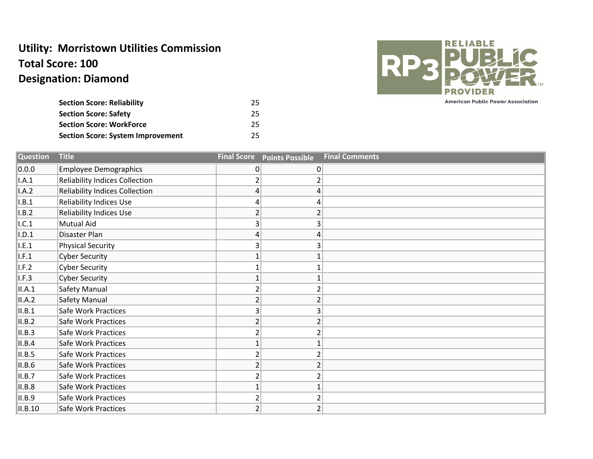## **Utility: Morristown Utilities Commission Total Score: 100 Designation: Diamond**

| <b>Section Score: Reliability</b>        | 25. |
|------------------------------------------|-----|
| <b>Section Score: Safety</b>             | 25. |
| <b>Section Score: WorkForce</b>          | 25. |
| <b>Section Score: System Improvement</b> | 25. |



**American Public Power Association** 

| <b>Question</b> | <b>Title</b>                          | <b>Final Score</b> | <b>Points Possible</b> | <b>Final Comments</b> |
|-----------------|---------------------------------------|--------------------|------------------------|-----------------------|
| 0.0.0           | <b>Employee Demographics</b>          | $\overline{0}$     | 0                      |                       |
| A.1             | <b>Reliability Indices Collection</b> | 2                  | 2                      |                       |
| I.A.2           | <b>Reliability Indices Collection</b> | 4                  | 4                      |                       |
| I.B.1           | <b>Reliability Indices Use</b>        | 4                  | 4                      |                       |
| I.B.2           | <b>Reliability Indices Use</b>        | $\overline{2}$     |                        |                       |
| .C.1            | <b>Mutual Aid</b>                     | 3                  | 3                      |                       |
| I.D.1           | Disaster Plan                         | 4                  | 4                      |                       |
| I.E.1           | <b>Physical Security</b>              | 3 <sub>1</sub>     | 3                      |                       |
| I.F.1           | <b>Cyber Security</b>                 |                    | $\mathbf{1}$           |                       |
| I.F.2           | <b>Cyber Security</b>                 |                    | 1                      |                       |
| I.F.3           | <b>Cyber Security</b>                 |                    | $\mathbf{1}$           |                       |
| II.A.1          | Safety Manual                         | $\overline{2}$     | $\overline{2}$         |                       |
| II.A.2          | Safety Manual                         | $\overline{2}$     | $\overline{2}$         |                       |
| II.B.1          | <b>Safe Work Practices</b>            | 3                  | 3                      |                       |
| II.B.2          | Safe Work Practices                   | $\overline{2}$     | $\overline{2}$         |                       |
| II.B.3          | Safe Work Practices                   | 2                  |                        |                       |
| II.B.4          | <b>Safe Work Practices</b>            |                    | 1                      |                       |
| II.B.5          | Safe Work Practices                   | 2                  |                        |                       |
| II.B.6          | <b>Safe Work Practices</b>            | $\overline{2}$     | 2                      |                       |
| II.B.7          | <b>Safe Work Practices</b>            | 2                  | 2                      |                       |
| II.B.8          | Safe Work Practices                   |                    | $\mathbf{1}$           |                       |
| II.B.9          | <b>Safe Work Practices</b>            | $\overline{2}$     | $\overline{2}$         |                       |
| II.B.10         | Safe Work Practices                   | $\overline{2}$     | $\overline{2}$         |                       |